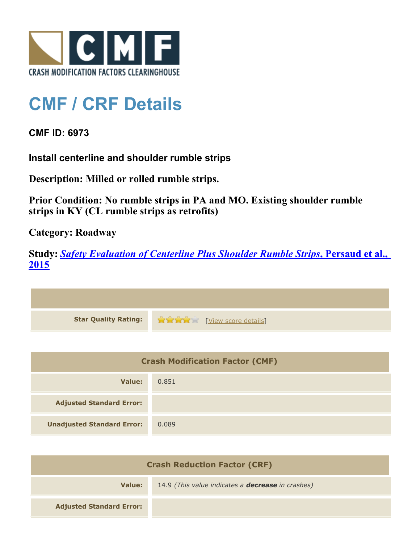

## **CMF / CRF Details**

**CMF ID: 6973**

**Install centerline and shoulder rumble strips**

**Description: Milled or rolled rumble strips.**

**Prior Condition: No rumble strips in PA and MO. Existing shoulder rumble strips in KY (CL rumble strips as retrofits)**

**Category: Roadway**

**Study:** *[Safety Evaluation of Centerline Plus Shoulder Rumble Strips](http://www.cmfclearinghouse.org/study_detail.cfm?stid=411)***[, Persaud et al.,](http://www.cmfclearinghouse.org/study_detail.cfm?stid=411) [2015](http://www.cmfclearinghouse.org/study_detail.cfm?stid=411)**



| <b>Crash Modification Factor (CMF)</b> |       |
|----------------------------------------|-------|
| Value:                                 | 0.851 |
| <b>Adjusted Standard Error:</b>        |       |
| <b>Unadjusted Standard Error:</b>      | 0.089 |

| <b>Crash Reduction Factor (CRF)</b> |                                                          |
|-------------------------------------|----------------------------------------------------------|
| Value:                              | 14.9 (This value indicates a <b>decrease</b> in crashes) |
| <b>Adjusted Standard Error:</b>     |                                                          |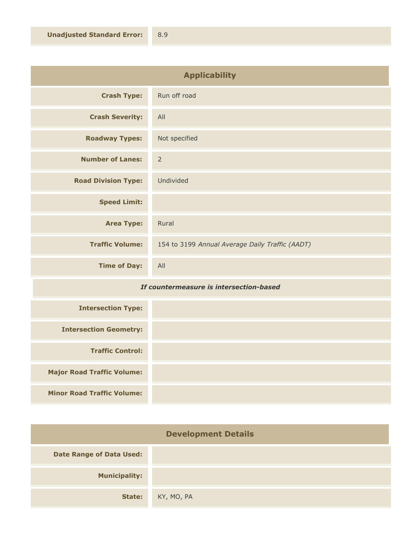| <b>Applicability</b>       |                                                 |
|----------------------------|-------------------------------------------------|
| <b>Crash Type:</b>         | Run off road                                    |
| <b>Crash Severity:</b>     | All                                             |
| <b>Roadway Types:</b>      | Not specified                                   |
| <b>Number of Lanes:</b>    | $\overline{2}$                                  |
| <b>Road Division Type:</b> | Undivided                                       |
| <b>Speed Limit:</b>        |                                                 |
| <b>Area Type:</b>          | Rural                                           |
| <b>Traffic Volume:</b>     | 154 to 3199 Annual Average Daily Traffic (AADT) |
| <b>Time of Day:</b>        | All                                             |

## *If countermeasure is intersection-based*

| <b>Intersection Type:</b>         |  |
|-----------------------------------|--|
| <b>Intersection Geometry:</b>     |  |
| <b>Traffic Control:</b>           |  |
| <b>Major Road Traffic Volume:</b> |  |
| <b>Minor Road Traffic Volume:</b> |  |

| <b>Development Details</b>      |            |
|---------------------------------|------------|
| <b>Date Range of Data Used:</b> |            |
| <b>Municipality:</b>            |            |
| State:                          | KY, MO, PA |